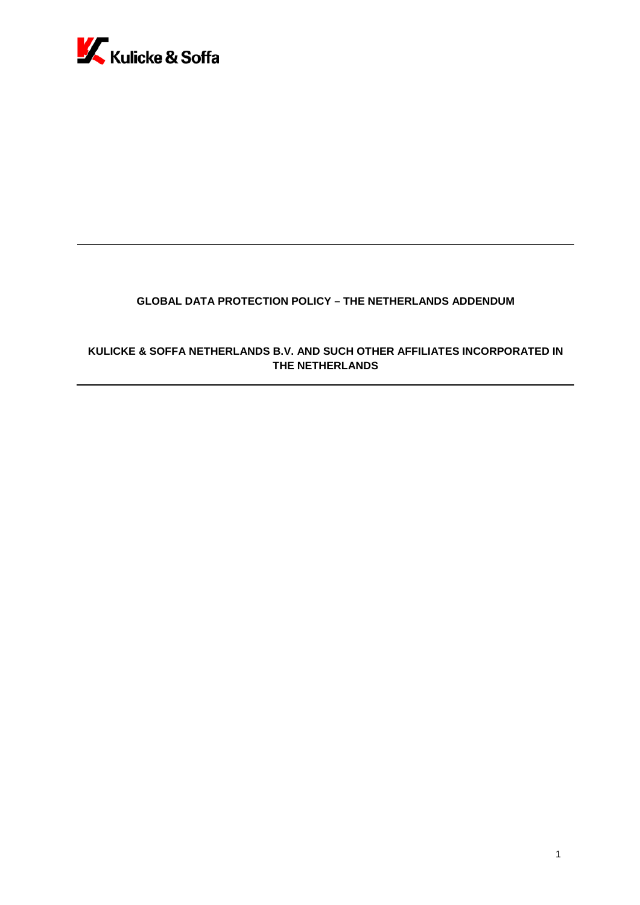

# **GLOBAL DATA PROTECTION POLICY – THE NETHERLANDS ADDENDUM**

# **KULICKE & SOFFA NETHERLANDS B.V. AND SUCH OTHER AFFILIATES INCORPORATED IN THE NETHERLANDS**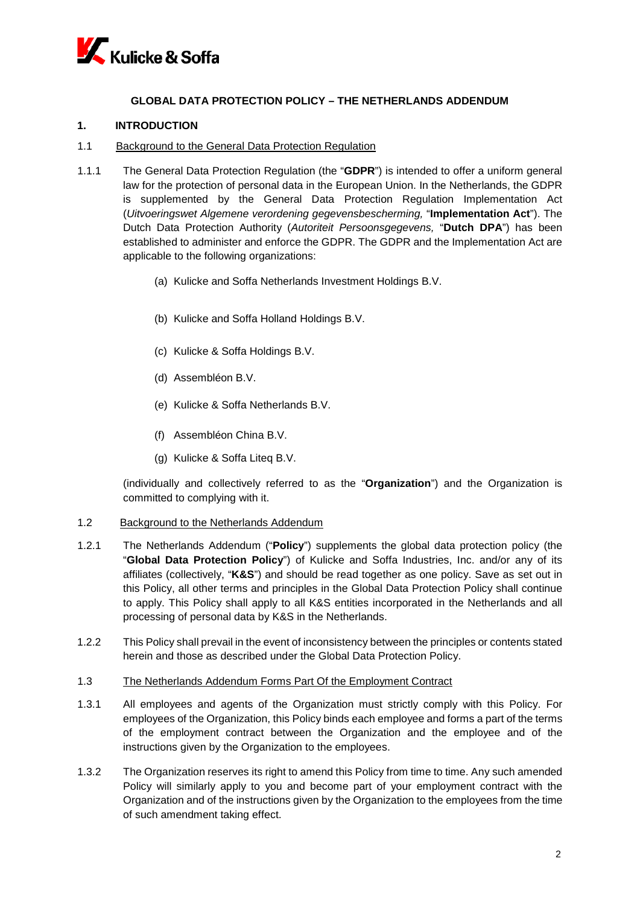

## **GLOBAL DATA PROTECTION POLICY – THE NETHERLANDS ADDENDUM**

## **1. INTRODUCTION**

- 1.1 Background to the General Data Protection Regulation
- 1.1.1 The General Data Protection Regulation (the "**GDPR**") is intended to offer a uniform general law for the protection of personal data in the European Union. In the Netherlands, the GDPR is supplemented by the General Data Protection Regulation Implementation Act (*Uitvoeringswet Algemene verordening gegevensbescherming,* "**Implementation Act**"). The Dutch Data Protection Authority (*Autoriteit Persoonsgegevens,* "**Dutch DPA**") has been established to administer and enforce the GDPR. The GDPR and the Implementation Act are applicable to the following organizations:
	- (a) Kulicke and Soffa Netherlands Investment Holdings B.V.
	- (b) Kulicke and Soffa Holland Holdings B.V.
	- (c) Kulicke & Soffa Holdings B.V.
	- (d) Assembléon B.V.
	- (e) Kulicke & Soffa Netherlands B.V.
	- (f) Assembléon China B.V.
	- (g) Kulicke & Soffa Liteq B.V.

(individually and collectively referred to as the "**Organization**") and the Organization is committed to complying with it.

- 1.2 Background to the Netherlands Addendum
- 1.2.1 The Netherlands Addendum ("**Policy**") supplements the global data protection policy (the "**Global Data Protection Policy**") of Kulicke and Soffa Industries, Inc. and/or any of its affiliates (collectively, "**K&S**") and should be read together as one policy. Save as set out in this Policy, all other terms and principles in the Global Data Protection Policy shall continue to apply. This Policy shall apply to all K&S entities incorporated in the Netherlands and all processing of personal data by K&S in the Netherlands.
- 1.2.2 This Policy shall prevail in the event of inconsistency between the principles or contents stated herein and those as described under the Global Data Protection Policy.
- 1.3 The Netherlands Addendum Forms Part Of the Employment Contract
- 1.3.1 All employees and agents of the Organization must strictly comply with this Policy. For employees of the Organization, this Policy binds each employee and forms a part of the terms of the employment contract between the Organization and the employee and of the instructions given by the Organization to the employees.
- 1.3.2 The Organization reserves its right to amend this Policy from time to time. Any such amended Policy will similarly apply to you and become part of your employment contract with the Organization and of the instructions given by the Organization to the employees from the time of such amendment taking effect.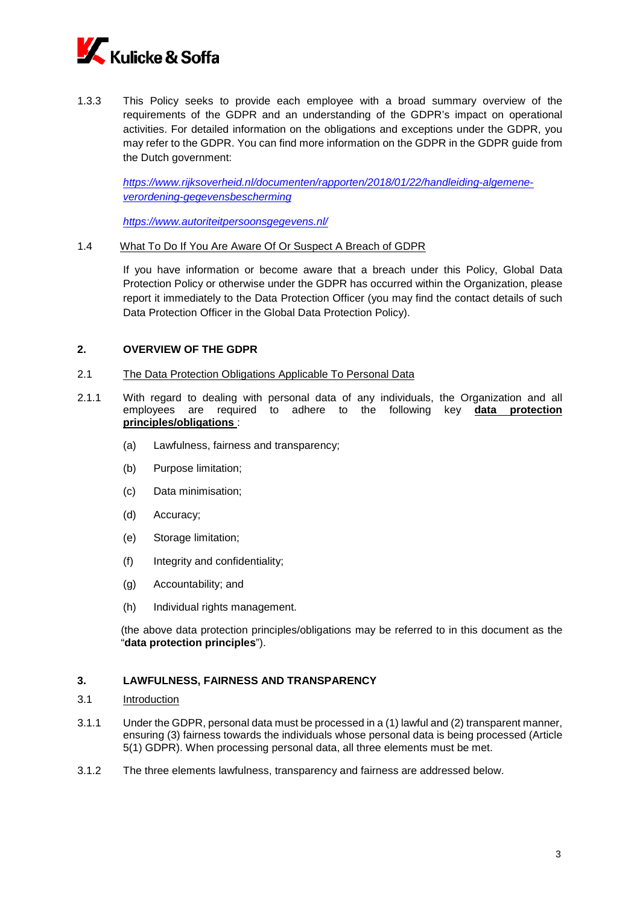

1.3.3 This Policy seeks to provide each employee with a broad summary overview of the requirements of the GDPR and an understanding of the GDPR's impact on operational activities. For detailed information on the obligations and exceptions under the GDPR, you may refer to the GDPR. You can find more information on the GDPR in the GDPR guide from the Dutch government:

*[https://www.rijksoverheid.nl/documenten/rapporten/2018/01/22/handleiding-algemene](https://www.rijksoverheid.nl/documenten/rapporten/2018/01/22/handleiding-algemene-verordening-gegevensbescherming)[verordening-gegevensbescherming](https://www.rijksoverheid.nl/documenten/rapporten/2018/01/22/handleiding-algemene-verordening-gegevensbescherming)*

*<https://www.autoriteitpersoonsgegevens.nl/>*

#### 1.4 What To Do If You Are Aware Of Or Suspect A Breach of GDPR

If you have information or become aware that a breach under this Policy, Global Data Protection Policy or otherwise under the GDPR has occurred within the Organization, please report it immediately to the Data Protection Officer (you may find the contact details of such Data Protection Officer in the Global Data Protection Policy).

### **2. OVERVIEW OF THE GDPR**

- 2.1 The Data Protection Obligations Applicable To Personal Data
- 2.1.1 With regard to dealing with personal data of any individuals, the Organization and all employees are required to adhere to the following key **data protection principles/obligations** :
	- (a) Lawfulness, fairness and transparency;
	- (b) Purpose limitation;
	- (c) Data minimisation;
	- (d) Accuracy;
	- (e) Storage limitation;
	- (f) Integrity and confidentiality;
	- (g) Accountability; and
	- (h) Individual rights management.

(the above data protection principles/obligations may be referred to in this document as the "**data protection principles**").

## **3. LAWFULNESS, FAIRNESS AND TRANSPARENCY**

#### 3.1 Introduction

- 3.1.1 Under the GDPR, personal data must be processed in a (1) lawful and (2) transparent manner, ensuring (3) fairness towards the individuals whose personal data is being processed (Article 5(1) GDPR). When processing personal data, all three elements must be met.
- 3.1.2 The three elements lawfulness, transparency and fairness are addressed below.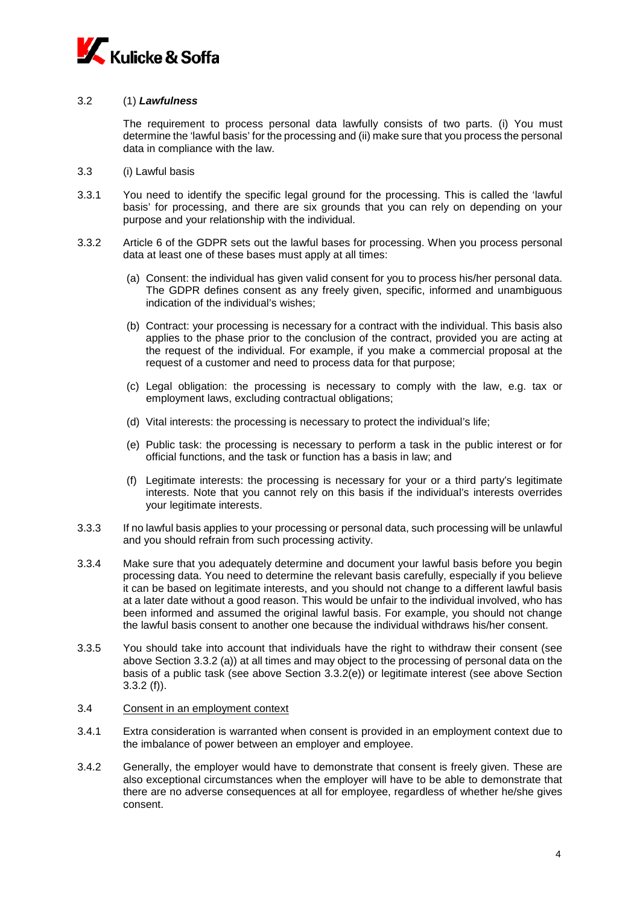

### 3.2 (1) *Lawfulness*

The requirement to process personal data lawfully consists of two parts. (i) You must determine the 'lawful basis' for the processing and (ii) make sure that you process the personal data in compliance with the law.

- 3.3 (i) Lawful basis
- 3.3.1 You need to identify the specific legal ground for the processing. This is called the 'lawful basis' for processing, and there are six grounds that you can rely on depending on your purpose and your relationship with the individual.
- <span id="page-3-0"></span>3.3.2 Article 6 of the GDPR sets out the lawful bases for processing. When you process personal data at least one of these bases must apply at all times:
	- (a) Consent: the individual has given valid consent for you to process his/her personal data. The GDPR defines consent as any freely given, specific, informed and unambiguous indication of the individual's wishes;
	- (b) Contract: your processing is necessary for a contract with the individual. This basis also applies to the phase prior to the conclusion of the contract, provided you are acting at the request of the individual. For example, if you make a commercial proposal at the request of a customer and need to process data for that purpose;
	- (c) Legal obligation: the processing is necessary to comply with the law, e.g. tax or employment laws, excluding contractual obligations;
	- (d) Vital interests: the processing is necessary to protect the individual's life;
	- (e) Public task: the processing is necessary to perform a task in the public interest or for official functions, and the task or function has a basis in law; and
	- (f) Legitimate interests: the processing is necessary for your or a third party's legitimate interests. Note that you cannot rely on this basis if the individual's interests overrides your legitimate interests.
- 3.3.3 If no lawful basis applies to your processing or personal data, such processing will be unlawful and you should refrain from such processing activity.
- 3.3.4 Make sure that you adequately determine and document your lawful basis before you begin processing data. You need to determine the relevant basis carefully, especially if you believe it can be based on legitimate interests, and you should not change to a different lawful basis at a later date without a good reason. This would be unfair to the individual involved, who has been informed and assumed the original lawful basis. For example, you should not change the lawful basis consent to another one because the individual withdraws his/her consent.
- 3.3.5 You should take into account that individuals have the right to withdraw their consent (see above Section 3.3.2 (a)) at all times and may object to the processing of personal data on the basis of a public task (see above Section 3.3.2(e)) or legitimate interest (see above Section 3.3.2 (f)).

#### 3.4 Consent in an employment context

- 3.4.1 Extra consideration is warranted when consent is provided in an employment context due to the imbalance of power between an employer and employee.
- 3.4.2 Generally, the employer would have to demonstrate that consent is freely given. These are also exceptional circumstances when the employer will have to be able to demonstrate that there are no adverse consequences at all for employee, regardless of whether he/she gives consent.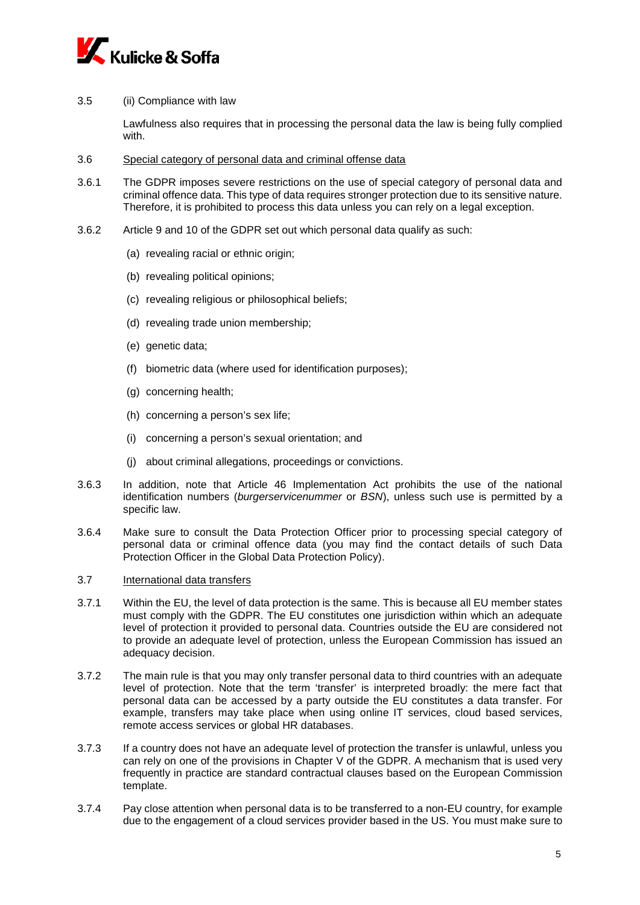

3.5 (ii) Compliance with law

Lawfulness also requires that in processing the personal data the law is being fully complied with.

- 3.6 Special category of personal data and criminal offense data
- <span id="page-4-0"></span>3.6.1 The GDPR imposes severe restrictions on the use of special category of personal data and criminal offence data. This type of data requires stronger protection due to its sensitive nature. Therefore, it is prohibited to process this data unless you can rely on a legal exception.
- 3.6.2 Article 9 and 10 of the GDPR set out which personal data qualify as such:
	- (a) revealing racial or ethnic origin;
	- (b) revealing political opinions;
	- (c) revealing religious or philosophical beliefs;
	- (d) revealing trade union membership;
	- (e) genetic data;
	- (f) biometric data (where used for identification purposes);
	- (g) concerning health;
	- (h) concerning a person's sex life;
	- (i) concerning a person's sexual orientation; and
	- (j) about criminal allegations, proceedings or convictions.
- 3.6.3 In addition, note that Article 46 Implementation Act prohibits the use of the national identification numbers (*burgerservicenummer* or *BSN*), unless such use is permitted by a specific law.
- 3.6.4 Make sure to consult the Data Protection Officer prior to processing special category of personal data or criminal offence data (you may find the contact details of such Data Protection Officer in the Global Data Protection Policy).
- 3.7 International data transfers
- 3.7.1 Within the EU, the level of data protection is the same. This is because all EU member states must comply with the GDPR. The EU constitutes one jurisdiction within which an adequate level of protection it provided to personal data. Countries outside the EU are considered not to provide an adequate level of protection, unless the European Commission has issued an adequacy decision.
- 3.7.2 The main rule is that you may only transfer personal data to third countries with an adequate level of protection. Note that the term 'transfer' is interpreted broadly: the mere fact that personal data can be accessed by a party outside the EU constitutes a data transfer. For example, transfers may take place when using online IT services, cloud based services, remote access services or global HR databases.
- 3.7.3 If a country does not have an adequate level of protection the transfer is unlawful, unless you can rely on one of the provisions in Chapter V of the GDPR. A mechanism that is used very frequently in practice are standard contractual clauses based on the European Commission template.
- 3.7.4 Pay close attention when personal data is to be transferred to a non-EU country, for example due to the engagement of a cloud services provider based in the US. You must make sure to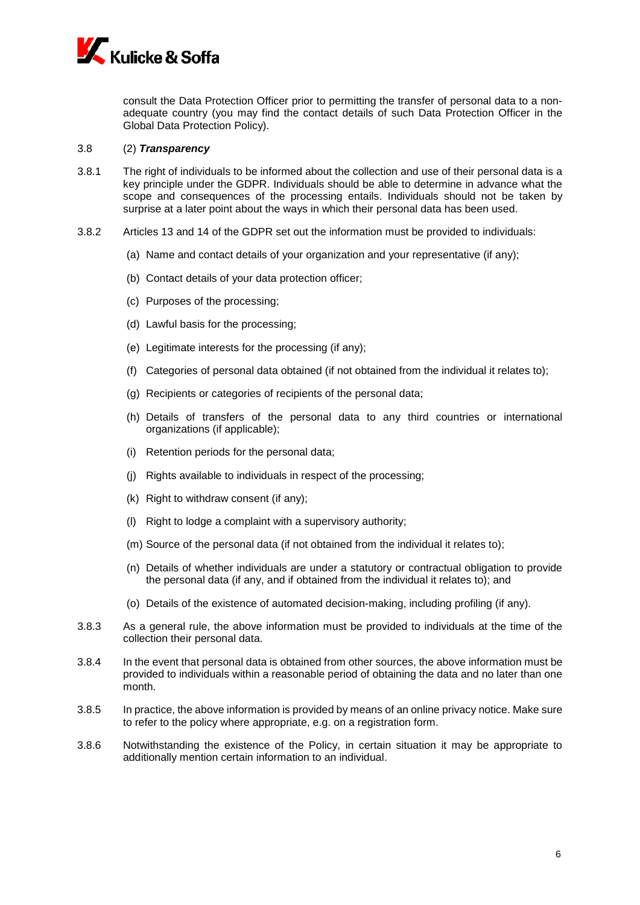

consult the Data Protection Officer prior to permitting the transfer of personal data to a nonadequate country (you may find the contact details of such Data Protection Officer in the Global Data Protection Policy).

#### <span id="page-5-0"></span>3.8 (2) *Transparency*

- 3.8.1 The right of individuals to be informed about the collection and use of their personal data is a key principle under the GDPR. Individuals should be able to determine in advance what the scope and consequences of the processing entails. Individuals should not be taken by surprise at a later point about the ways in which their personal data has been used.
- 3.8.2 Articles 13 and 14 of the GDPR set out the information must be provided to individuals:
	- (a) Name and contact details of your organization and your representative (if any);
	- (b) Contact details of your data protection officer;
	- (c) Purposes of the processing;
	- (d) Lawful basis for the processing;
	- (e) Legitimate interests for the processing (if any);
	- (f) Categories of personal data obtained (if not obtained from the individual it relates to);
	- (g) Recipients or categories of recipients of the personal data;
	- (h) Details of transfers of the personal data to any third countries or international organizations (if applicable);
	- (i) Retention periods for the personal data;
	- (j) Rights available to individuals in respect of the processing;
	- (k) Right to withdraw consent (if any);
	- (l) Right to lodge a complaint with a supervisory authority;
	- (m) Source of the personal data (if not obtained from the individual it relates to);
	- (n) Details of whether individuals are under a statutory or contractual obligation to provide the personal data (if any, and if obtained from the individual it relates to); and
	- (o) Details of the existence of automated decision-making, including profiling (if any).
- 3.8.3 As a general rule, the above information must be provided to individuals at the time of the collection their personal data.
- 3.8.4 In the event that personal data is obtained from other sources, the above information must be provided to individuals within a reasonable period of obtaining the data and no later than one month.
- 3.8.5 In practice, the above information is provided by means of an online privacy notice. Make sure to refer to the policy where appropriate, e.g. on a registration form.
- 3.8.6 Notwithstanding the existence of the Policy, in certain situation it may be appropriate to additionally mention certain information to an individual.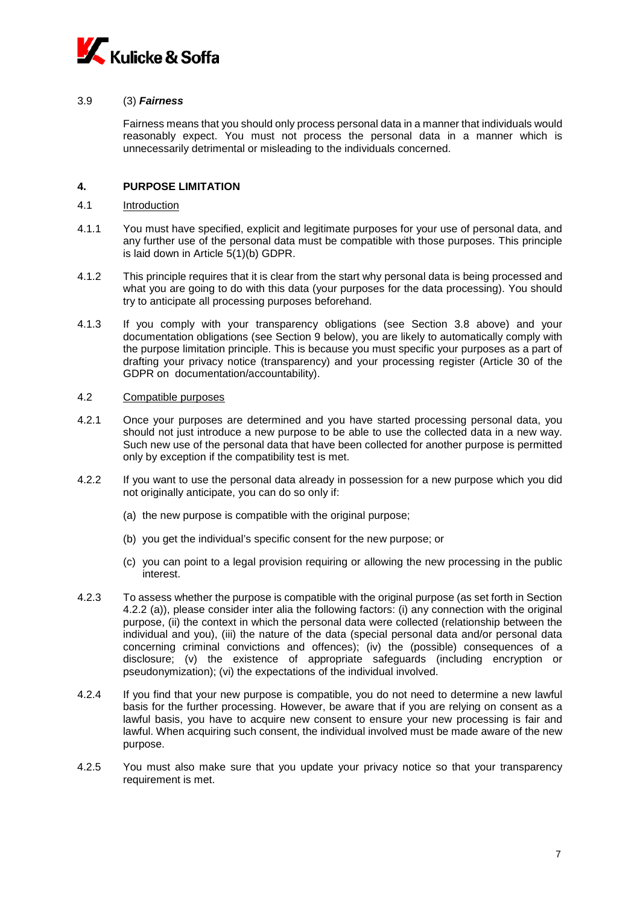

### 3.9 (3) *Fairness*

Fairness means that you should only process personal data in a manner that individuals would reasonably expect. You must not process the personal data in a manner which is unnecessarily detrimental or misleading to the individuals concerned.

## <span id="page-6-0"></span>**4. PURPOSE LIMITATION**

- 4.1 Introduction
- 4.1.1 You must have specified, explicit and legitimate purposes for your use of personal data, and any further use of the personal data must be compatible with those purposes. This principle is laid down in Article 5(1)(b) GDPR.
- 4.1.2 This principle requires that it is clear from the start why personal data is being processed and what you are going to do with this data (your purposes for the data processing). You should try to anticipate all processing purposes beforehand.
- 4.1.3 If you comply with your transparency obligations (see Section [3.8](#page-5-0) above) and your documentation obligations (see Section [9](#page-11-0) below), you are likely to automatically comply with the purpose limitation principle. This is because you must specific your purposes as a part of drafting your privacy notice (transparency) and your processing register (Article 30 of the GDPR on documentation/accountability).

## 4.2 Compatible purposes

- 4.2.1 Once your purposes are determined and you have started processing personal data, you should not just introduce a new purpose to be able to use the collected data in a new way. Such new use of the personal data that have been collected for another purpose is permitted only by exception if the compatibility test is met.
- 4.2.2 If you want to use the personal data already in possession for a new purpose which you did not originally anticipate, you can do so only if:
	- (a) the new purpose is compatible with the original purpose;
	- (b) you get the individual's specific consent for the new purpose; or
	- (c) you can point to a legal provision requiring or allowing the new processing in the public interest.
- 4.2.3 To assess whether the purpose is compatible with the original purpose (as set forth in Section 4.2.2 (a)), please consider inter alia the following factors: (i) any connection with the original purpose, (ii) the context in which the personal data were collected (relationship between the individual and you), (iii) the nature of the data (special personal data and/or personal data concerning criminal convictions and offences); (iv) the (possible) consequences of a disclosure; (v) the existence of appropriate safeguards (including encryption or pseudonymization); (vi) the expectations of the individual involved.
- 4.2.4 If you find that your new purpose is compatible, you do not need to determine a new lawful basis for the further processing. However, be aware that if you are relying on consent as a lawful basis, you have to acquire new consent to ensure your new processing is fair and lawful. When acquiring such consent, the individual involved must be made aware of the new purpose.
- 4.2.5 You must also make sure that you update your privacy notice so that your transparency requirement is met.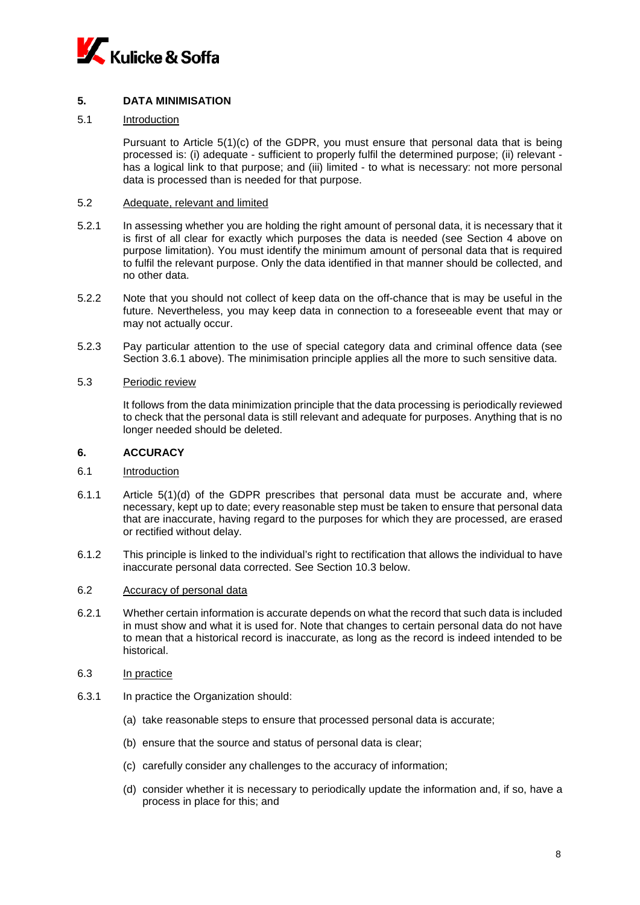

## **5. DATA MINIMISATION**

## 5.1 Introduction

Pursuant to Article 5(1)(c) of the GDPR, you must ensure that personal data that is being processed is: (i) adequate - sufficient to properly fulfil the determined purpose; (ii) relevant has a logical link to that purpose; and (iii) limited - to what is necessary: not more personal data is processed than is needed for that purpose.

#### 5.2 Adequate, relevant and limited

- 5.2.1 In assessing whether you are holding the right amount of personal data, it is necessary that it is first of all clear for exactly which purposes the data is needed (see Section [4](#page-6-0) above on purpose limitation). You must identify the minimum amount of personal data that is required to fulfil the relevant purpose. Only the data identified in that manner should be collected, and no other data.
- 5.2.2 Note that you should not collect of keep data on the off-chance that is may be useful in the future. Nevertheless, you may keep data in connection to a foreseeable event that may or may not actually occur.
- 5.2.3 Pay particular attention to the use of special category data and criminal offence data (see Section [3.6.1](#page-4-0) above). The minimisation principle applies all the more to such sensitive data.
- 5.3 Periodic review

It follows from the data minimization principle that the data processing is periodically reviewed to check that the personal data is still relevant and adequate for purposes. Anything that is no longer needed should be deleted.

## **6. ACCURACY**

#### 6.1 Introduction

- 6.1.1 Article 5(1)(d) of the GDPR prescribes that personal data must be accurate and, where necessary, kept up to date; every reasonable step must be taken to ensure that personal data that are inaccurate, having regard to the purposes for which they are processed, are erased or rectified without delay.
- 6.1.2 This principle is linked to the individual's right to rectification that allows the individual to have inaccurate personal data corrected. See Section [10.3](#page-12-0) below.

#### 6.2 Accuracy of personal data

- 6.2.1 Whether certain information is accurate depends on what the record that such data is included in must show and what it is used for. Note that changes to certain personal data do not have to mean that a historical record is inaccurate, as long as the record is indeed intended to be historical.
- 6.3 In practice
- 6.3.1 In practice the Organization should:
	- (a) take reasonable steps to ensure that processed personal data is accurate;
	- (b) ensure that the source and status of personal data is clear;
	- (c) carefully consider any challenges to the accuracy of information;
	- (d) consider whether it is necessary to periodically update the information and, if so, have a process in place for this; and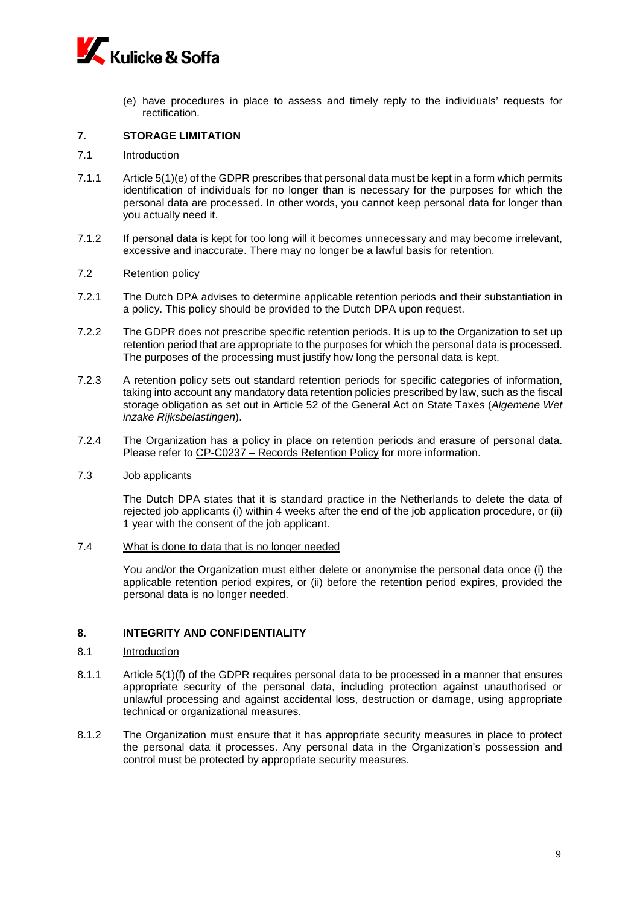

(e) have procedures in place to assess and timely reply to the individuals' requests for rectification.

## **7. STORAGE LIMITATION**

### 7.1 Introduction

- 7.1.1 Article 5(1)(e) of the GDPR prescribes that personal data must be kept in a form which permits identification of individuals for no longer than is necessary for the purposes for which the personal data are processed. In other words, you cannot keep personal data for longer than you actually need it.
- 7.1.2 If personal data is kept for too long will it becomes unnecessary and may become irrelevant, excessive and inaccurate. There may no longer be a lawful basis for retention.

#### 7.2 Retention policy

- 7.2.1 The Dutch DPA advises to determine applicable retention periods and their substantiation in a policy. This policy should be provided to the Dutch DPA upon request.
- 7.2.2 The GDPR does not prescribe specific retention periods. It is up to the Organization to set up retention period that are appropriate to the purposes for which the personal data is processed. The purposes of the processing must justify how long the personal data is kept.
- 7.2.3 A retention policy sets out standard retention periods for specific categories of information, taking into account any mandatory data retention policies prescribed by law, such as the fiscal storage obligation as set out in Article 52 of the General Act on State Taxes (*Algemene Wet inzake Rijksbelastingen*).
- 7.2.4 The Organization has a policy in place on retention periods and erasure of personal data. Please refer to CP-C0237 – Records Retention Policy for more information.
- 7.3 Job applicants

The Dutch DPA states that it is standard practice in the Netherlands to delete the data of rejected job applicants (i) within 4 weeks after the end of the job application procedure, or (ii) 1 year with the consent of the job applicant.

7.4 What is done to data that is no longer needed

You and/or the Organization must either delete or anonymise the personal data once (i) the applicable retention period expires, or (ii) before the retention period expires, provided the personal data is no longer needed.

## **8. INTEGRITY AND CONFIDENTIALITY**

#### 8.1 Introduction

- 8.1.1 Article 5(1)(f) of the GDPR requires personal data to be processed in a manner that ensures appropriate security of the personal data, including protection against unauthorised or unlawful processing and against accidental loss, destruction or damage, using appropriate technical or organizational measures.
- 8.1.2 The Organization must ensure that it has appropriate security measures in place to protect the personal data it processes. Any personal data in the Organization's possession and control must be protected by appropriate security measures.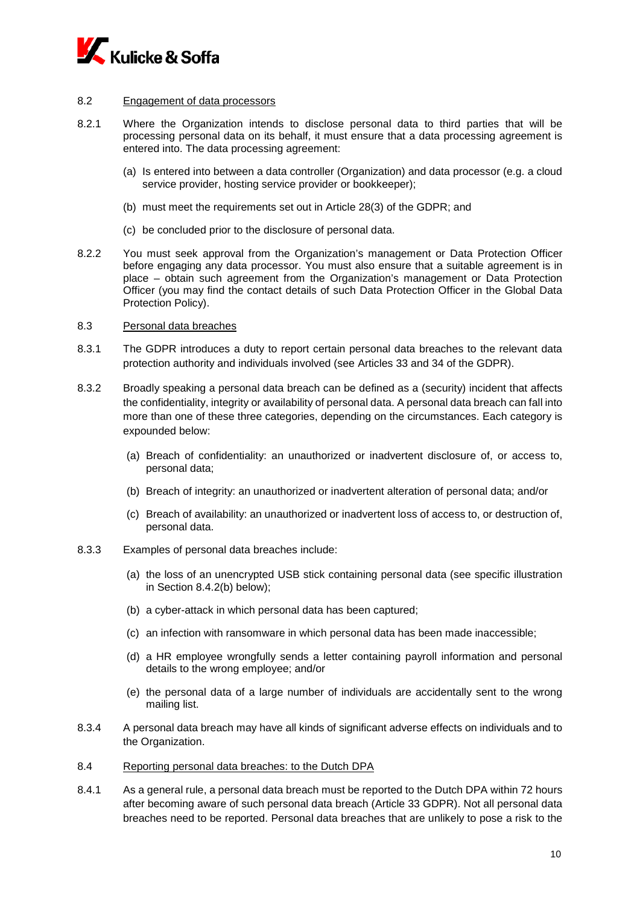

## 8.2 Engagement of data processors

- 8.2.1 Where the Organization intends to disclose personal data to third parties that will be processing personal data on its behalf, it must ensure that a data processing agreement is entered into. The data processing agreement:
	- (a) Is entered into between a data controller (Organization) and data processor (e.g. a cloud service provider, hosting service provider or bookkeeper);
	- (b) must meet the requirements set out in Article 28(3) of the GDPR; and
	- (c) be concluded prior to the disclosure of personal data.
- 8.2.2 You must seek approval from the Organization's management or Data Protection Officer before engaging any data processor. You must also ensure that a suitable agreement is in place – obtain such agreement from the Organization's management or Data Protection Officer (you may find the contact details of such Data Protection Officer in the Global Data Protection Policy).

### 8.3 Personal data breaches

- 8.3.1 The GDPR introduces a duty to report certain personal data breaches to the relevant data protection authority and individuals involved (see Articles 33 and 34 of the GDPR).
- 8.3.2 Broadly speaking a personal data breach can be defined as a (security) incident that affects the confidentiality, integrity or availability of personal data. A personal data breach can fall into more than one of these three categories, depending on the circumstances. Each category is expounded below:
	- (a) Breach of confidentiality: an unauthorized or inadvertent disclosure of, or access to, personal data;
	- (b) Breach of integrity: an unauthorized or inadvertent alteration of personal data; and/or
	- (c) Breach of availability: an unauthorized or inadvertent loss of access to, or destruction of, personal data.
- 8.3.3 Examples of personal data breaches include:
	- (a) the loss of an unencrypted USB stick containing personal data (see specific illustration in Section 8.4.[2\(b\)](#page-10-0) below);
	- (b) a cyber-attack in which personal data has been captured;
	- (c) an infection with ransomware in which personal data has been made inaccessible;
	- (d) a HR employee wrongfully sends a letter containing payroll information and personal details to the wrong employee; and/or
	- (e) the personal data of a large number of individuals are accidentally sent to the wrong mailing list.
- 8.3.4 A personal data breach may have all kinds of significant adverse effects on individuals and to the Organization.
- 8.4 Reporting personal data breaches: to the Dutch DPA
- 8.4.1 As a general rule, a personal data breach must be reported to the Dutch DPA within 72 hours after becoming aware of such personal data breach (Article 33 GDPR). Not all personal data breaches need to be reported. Personal data breaches that are unlikely to pose a risk to the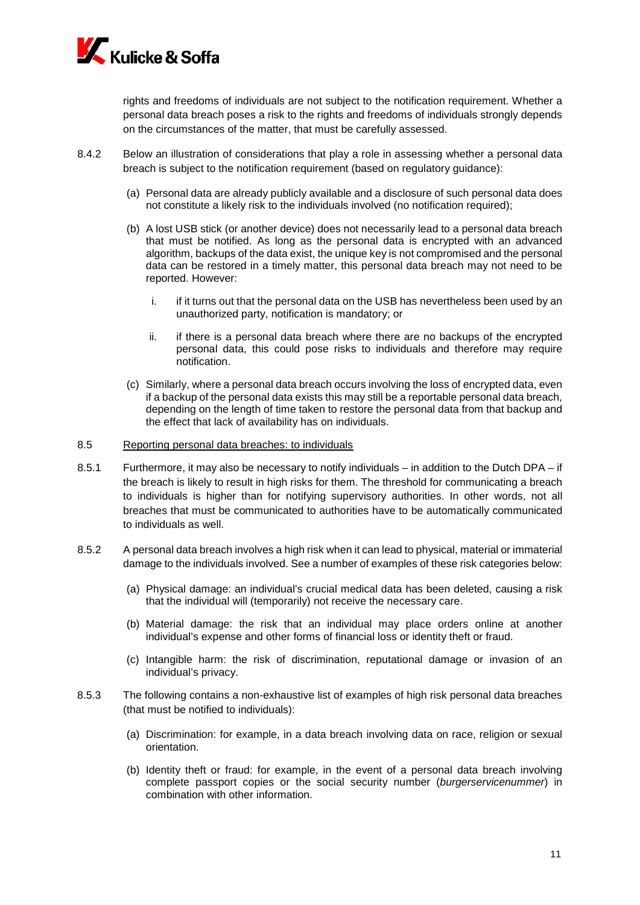

rights and freedoms of individuals are not subject to the notification requirement. Whether a personal data breach poses a risk to the rights and freedoms of individuals strongly depends on the circumstances of the matter, that must be carefully assessed.

- <span id="page-10-0"></span>8.4.2 Below an illustration of considerations that play a role in assessing whether a personal data breach is subject to the notification requirement (based on regulatory guidance):
	- (a) Personal data are already publicly available and a disclosure of such personal data does not constitute a likely risk to the individuals involved (no notification required);
	- (b) A lost USB stick (or another device) does not necessarily lead to a personal data breach that must be notified. As long as the personal data is encrypted with an advanced algorithm, backups of the data exist, the unique key is not compromised and the personal data can be restored in a timely matter, this personal data breach may not need to be reported. However:
		- i. if it turns out that the personal data on the USB has nevertheless been used by an unauthorized party, notification is mandatory; or
		- ii. if there is a personal data breach where there are no backups of the encrypted personal data, this could pose risks to individuals and therefore may require notification.
	- (c) Similarly, where a personal data breach occurs involving the loss of encrypted data, even if a backup of the personal data exists this may still be a reportable personal data breach, depending on the length of time taken to restore the personal data from that backup and the effect that lack of availability has on individuals.
- 8.5 Reporting personal data breaches: to individuals
- 8.5.1 Furthermore, it may also be necessary to notify individuals in addition to the Dutch DPA if the breach is likely to result in high risks for them. The threshold for communicating a breach to individuals is higher than for notifying supervisory authorities. In other words, not all breaches that must be communicated to authorities have to be automatically communicated to individuals as well.
- 8.5.2 A personal data breach involves a high risk when it can lead to physical, material or immaterial damage to the individuals involved. See a number of examples of these risk categories below:
	- (a) Physical damage: an individual's crucial medical data has been deleted, causing a risk that the individual will (temporarily) not receive the necessary care.
	- (b) Material damage: the risk that an individual may place orders online at another individual's expense and other forms of financial loss or identity theft or fraud.
	- (c) Intangible harm: the risk of discrimination, reputational damage or invasion of an individual's privacy.
- 8.5.3 The following contains a non-exhaustive list of examples of high risk personal data breaches (that must be notified to individuals):
	- (a) Discrimination: for example, in a data breach involving data on race, religion or sexual orientation.
	- (b) Identity theft or fraud: for example, in the event of a personal data breach involving complete passport copies or the social security number (*burgerservicenummer*) in combination with other information.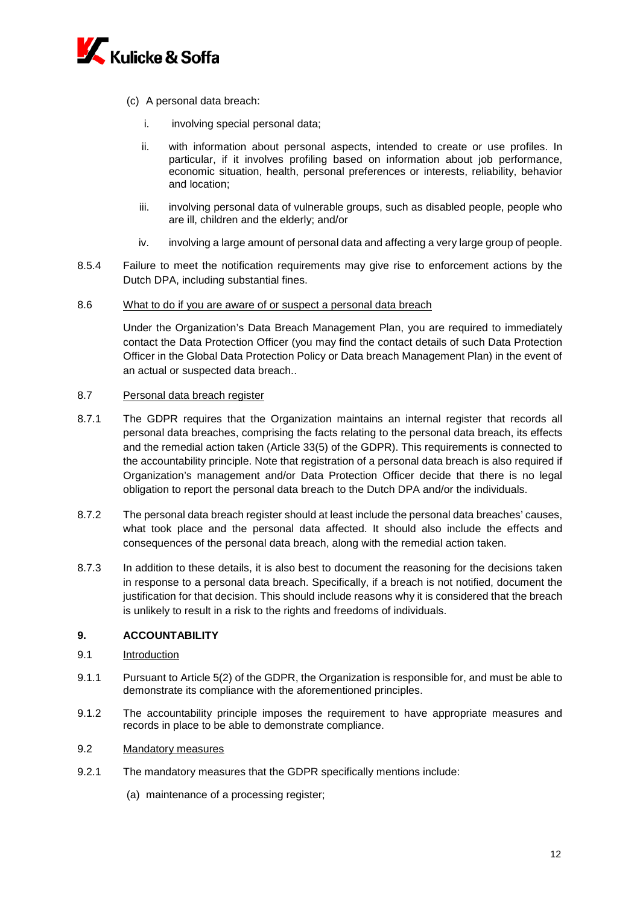

- (c) A personal data breach:
	- i. involving special personal data;
	- ii. with information about personal aspects, intended to create or use profiles. In particular, if it involves profiling based on information about job performance, economic situation, health, personal preferences or interests, reliability, behavior and location;
	- iii. involving personal data of vulnerable groups, such as disabled people, people who are ill, children and the elderly; and/or
	- iv. involving a large amount of personal data and affecting a very large group of people.
- 8.5.4 Failure to meet the notification requirements may give rise to enforcement actions by the Dutch DPA, including substantial fines.
- 8.6 What to do if you are aware of or suspect a personal data breach

Under the Organization's Data Breach Management Plan, you are required to immediately contact the Data Protection Officer (you may find the contact details of such Data Protection Officer in the Global Data Protection Policy or Data breach Management Plan) in the event of an actual or suspected data breach..

### 8.7 Personal data breach register

- 8.7.1 The GDPR requires that the Organization maintains an internal register that records all personal data breaches, comprising the facts relating to the personal data breach, its effects and the remedial action taken (Article 33(5) of the GDPR). This requirements is connected to the accountability principle. Note that registration of a personal data breach is also required if Organization's management and/or Data Protection Officer decide that there is no legal obligation to report the personal data breach to the Dutch DPA and/or the individuals.
- 8.7.2 The personal data breach register should at least include the personal data breaches' causes, what took place and the personal data affected. It should also include the effects and consequences of the personal data breach, along with the remedial action taken.
- 8.7.3 In addition to these details, it is also best to document the reasoning for the decisions taken in response to a personal data breach. Specifically, if a breach is not notified, document the justification for that decision. This should include reasons why it is considered that the breach is unlikely to result in a risk to the rights and freedoms of individuals.

## <span id="page-11-0"></span>**9. ACCOUNTABILITY**

- 9.1 Introduction
- 9.1.1 Pursuant to Article 5(2) of the GDPR, the Organization is responsible for, and must be able to demonstrate its compliance with the aforementioned principles.
- 9.1.2 The accountability principle imposes the requirement to have appropriate measures and records in place to be able to demonstrate compliance.

## 9.2 Mandatory measures

- 9.2.1 The mandatory measures that the GDPR specifically mentions include:
	- (a) maintenance of a processing register;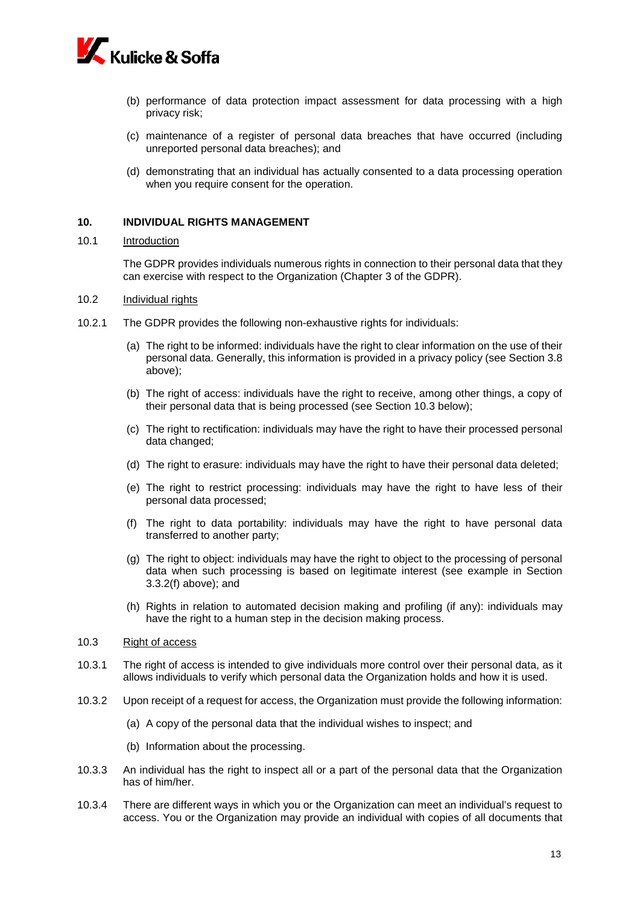

- (b) performance of data protection impact assessment for data processing with a high privacy risk;
- (c) maintenance of a register of personal data breaches that have occurred (including unreported personal data breaches); and
- (d) demonstrating that an individual has actually consented to a data processing operation when you require consent for the operation.

#### **10. INDIVIDUAL RIGHTS MANAGEMENT**

#### 10.1 Introduction

The GDPR provides individuals numerous rights in connection to their personal data that they can exercise with respect to the Organization (Chapter 3 of the GDPR).

### 10.2 Individual rights

- 10.2.1 The GDPR provides the following non-exhaustive rights for individuals:
	- (a) The right to be informed: individuals have the right to clear information on the use of their personal data. Generally, this information is provided in a privacy policy (see Section [3.8](#page-5-0) above);
	- (b) The right of access: individuals have the right to receive, among other things, a copy of their personal data that is being processed (see Section [10.3](#page-12-0) below);
	- (c) The right to rectification: individuals may have the right to have their processed personal data changed;
	- (d) The right to erasure: individuals may have the right to have their personal data deleted;
	- (e) The right to restrict processing: individuals may have the right to have less of their personal data processed;
	- (f) The right to data portability: individuals may have the right to have personal data transferred to another party;
	- (g) The right to object: individuals may have the right to object to the processing of personal data when such processing is based on legitimate interest (see example in Section [3.3.2\(](#page-3-0)f) above); and
	- (h) Rights in relation to automated decision making and profiling (if any): individuals may have the right to a human step in the decision making process.
- <span id="page-12-0"></span>10.3 Right of access
- 10.3.1 The right of access is intended to give individuals more control over their personal data, as it allows individuals to verify which personal data the Organization holds and how it is used.
- 10.3.2 Upon receipt of a request for access, the Organization must provide the following information:
	- (a) A copy of the personal data that the individual wishes to inspect; and
	- (b) Information about the processing.
- 10.3.3 An individual has the right to inspect all or a part of the personal data that the Organization has of him/her.
- 10.3.4 There are different ways in which you or the Organization can meet an individual's request to access. You or the Organization may provide an individual with copies of all documents that